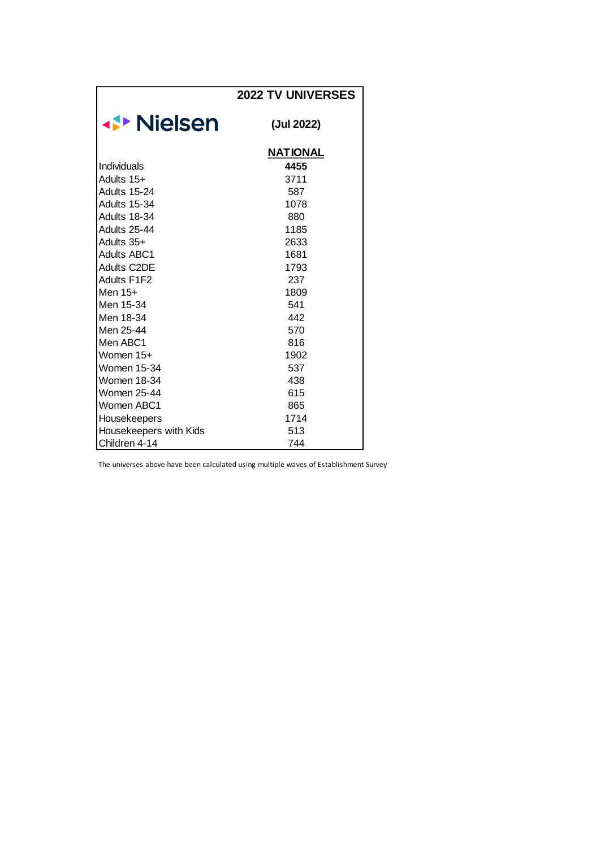|                        | <b>2022 TV UNIVERSES</b> |
|------------------------|--------------------------|
| <b>⊀▶ Nielsen</b>      | (Jul 2022)               |
|                        | <b>NATIONAL</b>          |
| Individuals            | 4455                     |
| Adults 15+             | 3711                     |
| Adults 15-24           | 587                      |
| <b>Adults 15-34</b>    | 1078                     |
| Adults 18-34           | 880                      |
| Adults 25-44           | 1185                     |
| Adults 35+             | 2633                     |
| <b>Adults ABC1</b>     | 1681                     |
| <b>Adults C2DE</b>     | 1793                     |
| Adults F1F2            | 237                      |
| Men 15+                | 1809                     |
| Men 15-34              | 541                      |
| Men 18-34              | 442                      |
| Men 25-44              | 570                      |
| Men ABC1               | 816                      |
| Women 15+              | 1902                     |
| Women 15-34            | 537                      |
| Women 18-34            | 438                      |
| Women 25-44            | 615                      |
| Women ABC1             | 865                      |
| Housekeepers           | 1714                     |
| Housekeepers with Kids | 513                      |
| Children 4-14          | 744                      |

The universes above have been calculated using multiple waves of Establishment Survey